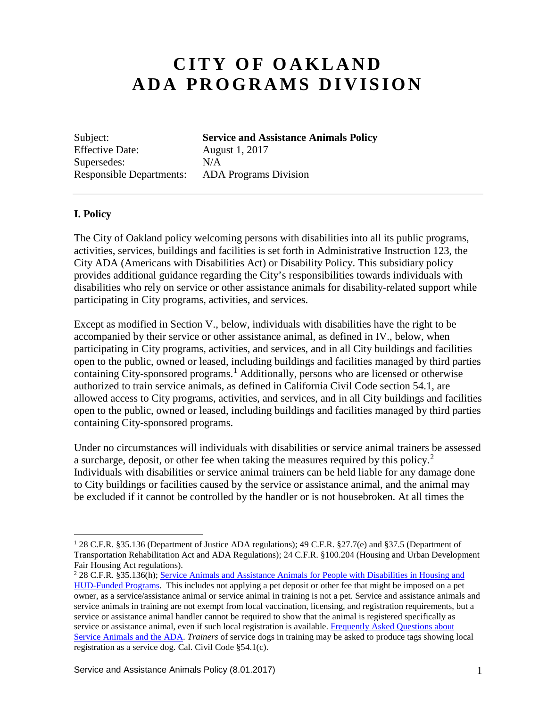# **CITY OF OAKLAND ADA PROGRAMS DIVISION**

Effective Date: August 1, 2017 Supersedes:  $N/A$ 

Subject: **Service and Assistance Animals Policy** Responsible Departments: ADA Programs Division

## **I. Policy**

The City of Oakland policy welcoming persons with disabilities into all its public programs, activities, services, buildings and facilities is set forth in Administrative Instruction 123, the City ADA (Americans with Disabilities Act) or Disability Policy. This subsidiary policy provides additional guidance regarding the City's responsibilities towards individuals with disabilities who rely on service or other assistance animals for disability-related support while participating in City programs, activities, and services.

Except as modified in Section V., below, individuals with disabilities have the right to be accompanied by their service or other assistance animal, as defined in IV., below, when participating in City programs, activities, and services, and in all City buildings and facilities open to the public, owned or leased, including buildings and facilities managed by third parties containing City-sponsored programs. [1](#page-0-0) Additionally, persons who are licensed or otherwise authorized to train service animals, as defined in California Civil Code section 54.1, are allowed access to City programs, activities, and services, and in all City buildings and facilities open to the public, owned or leased, including buildings and facilities managed by third parties containing City-sponsored programs.

Under no circumstances will individuals with disabilities or service animal trainers be assessed a surcharge, deposit, or other fee when taking the measures required by this policy.[2](#page-0-1) Individuals with disabilities or service animal trainers can be held liable for any damage done to City buildings or facilities caused by the service or assistance animal, and the animal may be excluded if it cannot be controlled by the handler or is not housebroken. At all times the

<span id="page-0-0"></span> <sup>1</sup> 28 C.F.R. §35.136 (Department of Justice ADA regulations); 49 C.F.R. §27.7(e) and §37.5 (Department of Transportation Rehabilitation Act and ADA Regulations); 24 C.F.R. §100.204 (Housing and Urban Development Fair Housing Act regulations).

<span id="page-0-1"></span><sup>2</sup> 28 C.F.R. §35.136(h); [Service Animals and Assistance Animals for People with Disabilities in Housing and](http://portal.hud.gov/hudportal/documents/huddoc?id=servanimals_ntcfheo2013-01.pdf) [HUD-Funded Programs.](http://portal.hud.gov/hudportal/documents/huddoc?id=servanimals_ntcfheo2013-01.pdf) This includes not applying a pet deposit or other fee that might be imposed on a pet owner, as a service/assistance animal or service animal in training is not a pet. Service and assistance animals and service animals in training are not exempt from local vaccination, licensing, and registration requirements, but a service or assistance animal handler cannot be required to show that the animal is registered specifically as service or assistance animal, even if such local registration is available. [Frequently Asked Questions about](https://www.ada.gov/regs2010/service_animal_qa.html)  [Service Animals and the ADA.](https://www.ada.gov/regs2010/service_animal_qa.html) *Trainers* of service dogs in training may be asked to produce tags showing local registration as a service dog. Cal. Civil Code §54.1(c).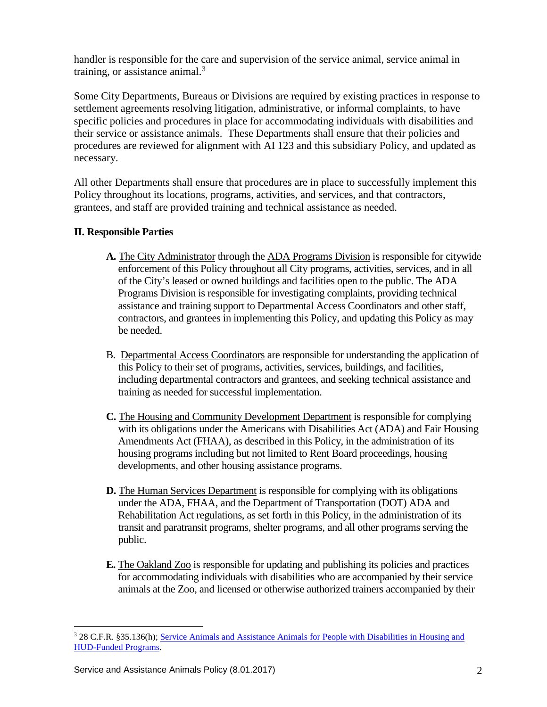handler is responsible for the care and supervision of the service animal, service animal in training, or assistance animal.<sup>[3](#page-1-0)</sup>

Some City Departments, Bureaus or Divisions are required by existing practices in response to settlement agreements resolving litigation, administrative, or informal complaints, to have specific policies and procedures in place for accommodating individuals with disabilities and their service or assistance animals. These Departments shall ensure that their policies and procedures are reviewed for alignment with AI 123 and this subsidiary Policy, and updated as necessary.

All other Departments shall ensure that procedures are in place to successfully implement this Policy throughout its locations, programs, activities, and services, and that contractors, grantees, and staff are provided training and technical assistance as needed.

## **II. Responsible Parties**

- **A.** The City Administrator through the ADA Programs Division is responsible for citywide enforcement of this Policy throughout all City programs, activities, services, and in all of the City's leased or owned buildings and facilities open to the public. The ADA Programs Division is responsible for investigating complaints, providing technical assistance and training support to Departmental Access Coordinators and other staff, contractors, and grantees in implementing this Policy, and updating this Policy as may be needed.
- B. Departmental Access Coordinators are responsible for understanding the application of this Policy to their set of programs, activities, services, buildings, and facilities, including departmental contractors and grantees, and seeking technical assistance and training as needed for successful implementation.
- **C.** The Housing and Community Development Department is responsible for complying with its obligations under the Americans with Disabilities Act (ADA) and Fair Housing Amendments Act (FHAA), as described in this Policy, in the administration of its housing programs including but not limited to Rent Board proceedings, housing developments, and other housing assistance programs.
- **D.** The Human Services Department is responsible for complying with its obligations under the ADA, FHAA, and the Department of Transportation (DOT) ADA and Rehabilitation Act regulations, as set forth in this Policy, in the administration of its transit and paratransit programs, shelter programs, and all other programs serving the public.
- **E.** The Oakland Zoo is responsible for updating and publishing its policies and practices for accommodating individuals with disabilities who are accompanied by their service animals at the Zoo, and licensed or otherwise authorized trainers accompanied by their

<span id="page-1-0"></span> <sup>3</sup> 28 C.F.R. §35.136(h); [Service Animals and Assistance Animals for People with Disabilities in Housing and](http://portal.hud.gov/hudportal/documents/huddoc?id=servanimals_ntcfheo2013-01.pdf) [HUD-Funded Programs.](http://portal.hud.gov/hudportal/documents/huddoc?id=servanimals_ntcfheo2013-01.pdf)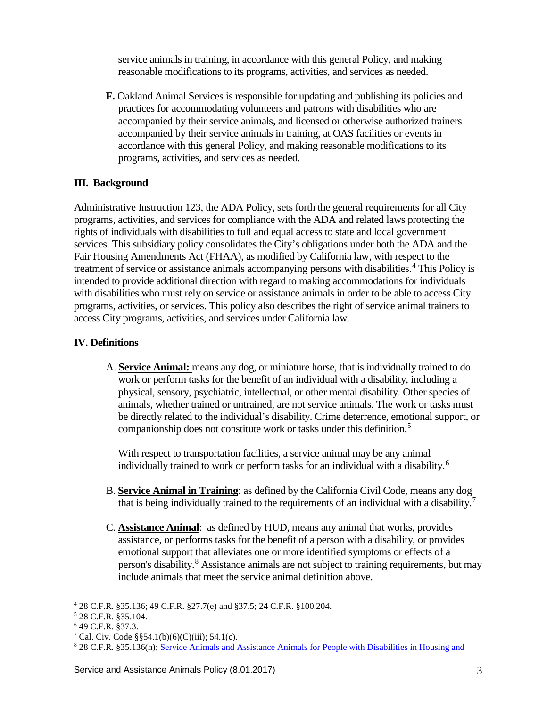service animals in training, in accordance with this general Policy, and making reasonable modifications to its programs, activities, and services as needed.

**F.** Oakland Animal Services is responsible for updating and publishing its policies and practices for accommodating volunteers and patrons with disabilities who are accompanied by their service animals, and licensed or otherwise authorized trainers accompanied by their service animals in training, at OAS facilities or events in accordance with this general Policy, and making reasonable modifications to its programs, activities, and services as needed.

## **III. Background**

Administrative Instruction 123, the ADA Policy, sets forth the general requirements for all City programs, activities, and services for compliance with the ADA and related laws protecting the rights of individuals with disabilities to full and equal access to state and local government services. This subsidiary policy consolidates the City's obligations under both the ADA and the Fair Housing Amendments Act (FHAA), as modified by California law, with respect to the treatment of service or assistance animals accompanying persons with disabilities. [4](#page-2-0) This Policy is intended to provide additional direction with regard to making accommodations for individuals with disabilities who must rely on service or assistance animals in order to be able to access City programs, activities, or services. This policy also describes the right of service animal trainers to access City programs, activities, and services under California law.

## **IV. Definitions**

A. **Service Animal:** means any dog, or miniature horse, that is individually trained to do work or perform tasks for the benefit of an individual with a disability, including a physical, sensory, psychiatric, intellectual, or other mental disability. Other species of animals, whether trained or untrained, are not service animals. The work or tasks must be directly related to the individual's disability. Crime deterrence, emotional support, or companionship does not constitute work or tasks under this definition.[5](#page-2-1)

With respect to transportation facilities, a service animal may be any animal individually trained to work or perform tasks for an individual with a disability. [6](#page-2-2)

- B. **Service Animal in Training**: as defined by the California Civil Code, means any dog that is being individually trained to the requirements of an individual with a disability.<sup>[7](#page-2-3)</sup>
- C. **Assistance Animal**: as defined by HUD, means any animal that works, provides assistance, or performs tasks for the benefit of a person with a disability, or provides emotional support that alleviates one or more identified symptoms or effects of a person's disability.<sup>[8](#page-2-4)</sup> Assistance animals are not subject to training requirements, but may include animals that meet the service animal definition above.

<span id="page-2-0"></span> <sup>4</sup> 28 C.F.R. §35.136; 49 C.F.R. §27.7(e) and §37.5; 24 C.F.R. §100.204.

<span id="page-2-1"></span><sup>5</sup> 28 C.F.R. §35.104.

<span id="page-2-2"></span><sup>6</sup> 49 C.F.R. §37.3.

<span id="page-2-3"></span><sup>&</sup>lt;sup>7</sup> Cal. Civ. Code §§54.1(b)(6)(C)(iii); 54.1(c).

<span id="page-2-4"></span><sup>8</sup> 28 C.F.R. §35.136(h); Service Animals and Assistance Animals for People with Disabilities in Housing and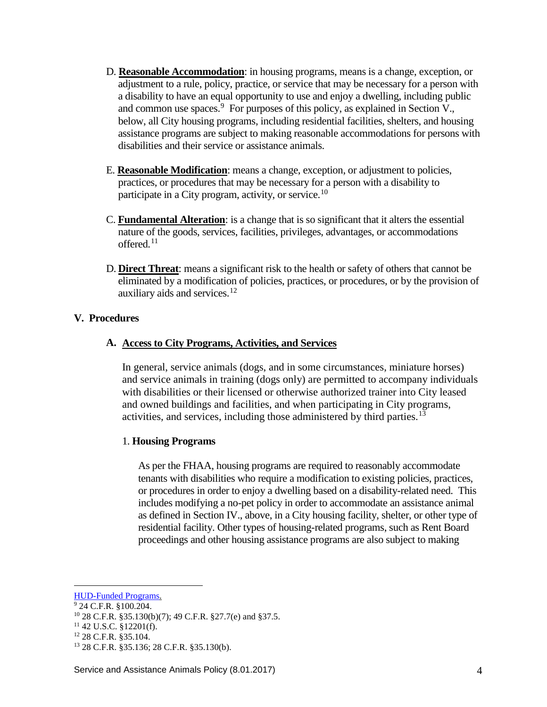- D. **Reasonable Accommodation**: in housing programs, means is a change, exception, or adjustment to a rule, policy, practice, or service that may be necessary for a person with a disability to have an equal opportunity to use and enjoy a dwelling, including public and common use spaces.<sup>[9](#page-3-0)</sup> For purposes of this policy, as explained in Section V., below, all City housing programs, including residential facilities, shelters, and housing assistance programs are subject to making reasonable accommodations for persons with disabilities and their service or assistance animals.
- E. **Reasonable Modification**: means a change, exception, or adjustment to policies, practices, or procedures that may be necessary for a person with a disability to participate in a City program, activity, or service.<sup>[10](#page-3-1)</sup>
- C. **Fundamental Alteration**: is a change that is so significant that it alters the essential nature of the goods, services, facilities, privileges, advantages, or accommodations offered. $11$
- D. **Direct Threat**: means a significant risk to the health or safety of others that cannot be eliminated by a modification of policies, practices, or procedures, or by the provision of auxiliary aids and services.[12](#page-3-3)

## **V. Procedures**

### **A. Access to City Programs, Activities, and Services**

In general, service animals (dogs, and in some circumstances, miniature horses) and service animals in training (dogs only) are permitted to accompany individuals with disabilities or their licensed or otherwise authorized trainer into City leased and owned buildings and facilities, and when participating in City programs, activities, and services, including those administered by third parties.<sup>[13](#page-3-4)</sup>

### 1. **Housing Programs**

As per the FHAA, housing programs are required to reasonably accommodate tenants with disabilities who require a modification to existing policies, practices, or procedures in order to enjoy a dwelling based on a disability-related need. This includes modifying a no-pet policy in order to accommodate an assistance animal as defined in Section IV., above, in a City housing facility, shelter, or other type of residential facility. Other types of housing-related programs, such as Rent Board proceedings and other housing assistance programs are also subject to making

HUD-Funded Programs.

<span id="page-3-1"></span><span id="page-3-0"></span><sup>9</sup> 24 C.F.R. §100.204.

<sup>10</sup> 28 C.F.R. §35.130(b)(7); 49 C.F.R. §27.7(e) and §37.5.

<span id="page-3-2"></span><sup>11</sup> 42 U.S.C. §12201(f).

<span id="page-3-3"></span><sup>12</sup> 28 C.F.R. §35.104.

<span id="page-3-4"></span><sup>13</sup> 28 C.F.R. §35.136; 28 C.F.R. §35.130(b).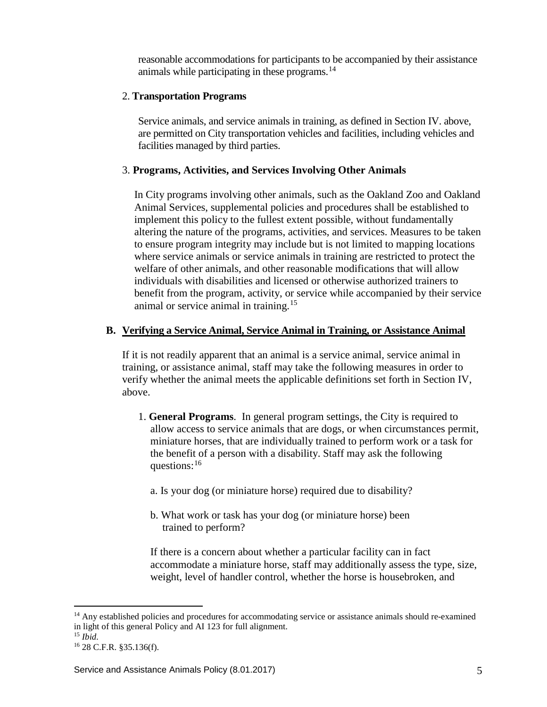reasonable accommodations for participants to be accompanied by their assistance animals while participating in these programs. $^{14}$  $^{14}$  $^{14}$ 

#### 2. **Transportation Programs**

Service animals, and service animals in training, as defined in Section IV. above, are permitted on City transportation vehicles and facilities, including vehicles and facilities managed by third parties.

#### 3. **Programs, Activities, and Services Involving Other Animals**

In City programs involving other animals, such as the Oakland Zoo and Oakland Animal Services, supplemental policies and procedures shall be established to implement this policy to the fullest extent possible, without fundamentally altering the nature of the programs, activities, and services. Measures to be taken to ensure program integrity may include but is not limited to mapping locations where service animals or service animals in training are restricted to protect the welfare of other animals, and other reasonable modifications that will allow individuals with disabilities and licensed or otherwise authorized trainers to benefit from the program, activity, or service while accompanied by their service animal or service animal in training.[15](#page-4-1)

#### **B. Verifying a Service Animal, Service Animal in Training, or Assistance Animal**

If it is not readily apparent that an animal is a service animal, service animal in training, or assistance animal, staff may take the following measures in order to verify whether the animal meets the applicable definitions set forth in Section IV, above.

- 1. **General Programs**. In general program settings, the City is required to allow access to service animals that are dogs, or when circumstances permit, miniature horses, that are individually trained to perform work or a task for the benefit of a person with a disability. Staff may ask the following questions:[16](#page-4-2)
	- a. Is your dog (or miniature horse) required due to disability?
	- b. What work or task has your dog (or miniature horse) been trained to perform?

If there is a concern about whether a particular facility can in fact accommodate a miniature horse, staff may additionally assess the type, size, weight, level of handler control, whether the horse is housebroken, and

<span id="page-4-0"></span><sup>&</sup>lt;sup>14</sup> Any established policies and procedures for accommodating service or assistance animals should re-examined in light of this general Policy and AI 123 for full alignment.

<sup>15</sup> *Ibid.*

<span id="page-4-2"></span><span id="page-4-1"></span><sup>16</sup> 28 C.F.R. §35.136(f).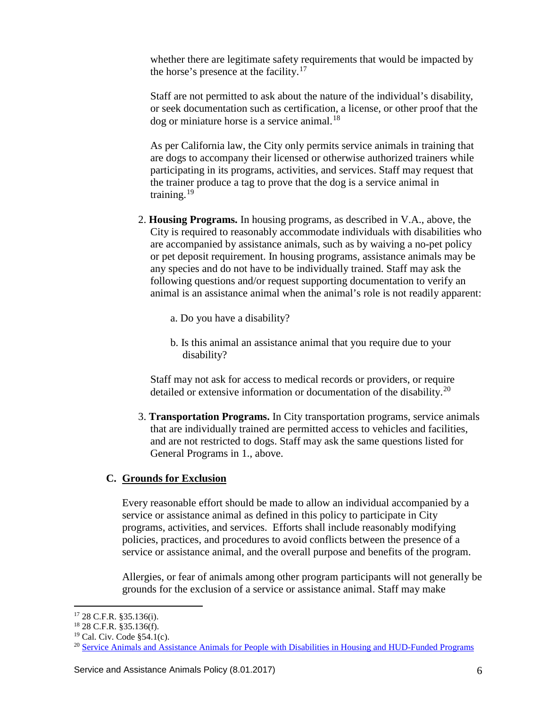whether there are legitimate safety requirements that would be impacted by the horse's presence at the facility.<sup>[17](#page-5-0)</sup>

Staff are not permitted to ask about the nature of the individual's disability, or seek documentation such as certification, a license, or other proof that the  $\log$  or miniature horse is a service animal.<sup>[18](#page-5-1)</sup>

As per California law, the City only permits service animals in training that are dogs to accompany their licensed or otherwise authorized trainers while participating in its programs, activities, and services. Staff may request that the trainer produce a tag to prove that the dog is a service animal in training.<sup>[19](#page-5-2)</sup>

- 2. **Housing Programs.** In housing programs, as described in V.A., above, the City is required to reasonably accommodate individuals with disabilities who are accompanied by assistance animals, such as by waiving a no-pet policy or pet deposit requirement. In housing programs, assistance animals may be any species and do not have to be individually trained. Staff may ask the following questions and/or request supporting documentation to verify an animal is an assistance animal when the animal's role is not readily apparent:
	- a. Do you have a disability?
	- b. Is this animal an assistance animal that you require due to your disability?

Staff may not ask for access to medical records or providers, or require detailed or extensive information or documentation of the disability.<sup>[20](#page-5-3)</sup>

3. **Transportation Programs.** In City transportation programs, service animals that are individually trained are permitted access to vehicles and facilities, and are not restricted to dogs. Staff may ask the same questions listed for General Programs in 1., above.

### **C. Grounds for Exclusion**

Every reasonable effort should be made to allow an individual accompanied by a service or assistance animal as defined in this policy to participate in City programs, activities, and services. Efforts shall include reasonably modifying policies, practices, and procedures to avoid conflicts between the presence of a service or assistance animal, and the overall purpose and benefits of the program.

Allergies, or fear of animals among other program participants will not generally be grounds for the exclusion of a service or assistance animal. Staff may make

<span id="page-5-1"></span><span id="page-5-0"></span> <sup>17</sup> 28 C.F.R. §35.136(i).

<sup>18</sup> 28 C.F.R. §35.136(f).

<sup>19</sup> Cal. Civ. Code §54.1(c).

<span id="page-5-3"></span><span id="page-5-2"></span><sup>&</sup>lt;sup>20</sup> [Service Animals and Assistance Animals for People with Disabilities in Housing and](http://portal.hud.gov/hudportal/documents/huddoc?id=servanimals_ntcfheo2013-01.pdf) HUD-Funded Programs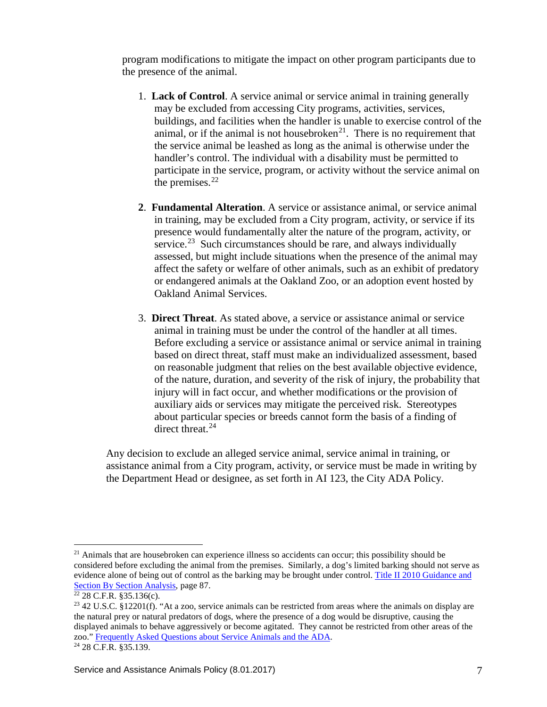program modifications to mitigate the impact on other program participants due to the presence of the animal.

- 1. **Lack of Control**. A service animal or service animal in training generally may be excluded from accessing City programs, activities, services, buildings, and facilities when the handler is unable to exercise control of the animal, or if the animal is not housebroken<sup>[21](#page-6-0)</sup>. There is no requirement that the service animal be leashed as long as the animal is otherwise under the handler's control. The individual with a disability must be permitted to participate in the service, program, or activity without the service animal on the premises. $22$
- **2**. **Fundamental Alteration**. A service or assistance animal, or service animal in training, may be excluded from a City program, activity, or service if its presence would fundamentally alter the nature of the program, activity, or service.<sup>[23](#page-6-2)</sup> Such circumstances should be rare, and always individually assessed, but might include situations when the presence of the animal may affect the safety or welfare of other animals, such as an exhibit of predatory or endangered animals at the Oakland Zoo, or an adoption event hosted by Oakland Animal Services.
- 3. **Direct Threat**. As stated above, a service or assistance animal or service animal in training must be under the control of the handler at all times. Before excluding a service or assistance animal or service animal in training based on direct threat, staff must make an individualized assessment, based on reasonable judgment that relies on the best available objective evidence, of the nature, duration, and severity of the risk of injury, the probability that injury will in fact occur, and whether modifications or the provision of auxiliary aids or services may mitigate the perceived risk. Stereotypes about particular species or breeds cannot form the basis of a finding of direct threat.<sup>[24](#page-6-3)</sup>

Any decision to exclude an alleged service animal, service animal in training, or assistance animal from a City program, activity, or service must be made in writing by the Department Head or designee, as set forth in AI 123, the City ADA Policy.

<span id="page-6-0"></span><sup>&</sup>lt;sup>21</sup> Animals that are housebroken can experience illness so accidents can occur; this possibility should be considered before excluding the animal from the premises. Similarly, a dog's limited barking should not serve as evidence alone of being out of control as the barking may be brought under control. [Title II 2010 Guidance and](https://www.ada.gov/regs2010/titleII_2010/titleII_2010_regulations.htm#a2010guidance)  [Section By Section Analysis,](https://www.ada.gov/regs2010/titleII_2010/titleII_2010_regulations.htm#a2010guidance) page 87.<br><sup>22</sup> 28 C.F.R. §35.136(c).

<span id="page-6-3"></span><span id="page-6-2"></span><span id="page-6-1"></span> $23$  42 U.S.C. §12201(f). "At a zoo, service animals can be restricted from areas where the animals on display are the natural prey or natural predators of dogs, where the presence of a dog would be disruptive, causing the displayed animals to behave aggressively or become agitated. They cannot be restricted from other areas of the zoo.[" Frequently Asked Questions about Service Animals and the ADA.](https://www.ada.gov/regs2010/service_animal_qa.pdf) 24 28 C.F.R. §35.139.